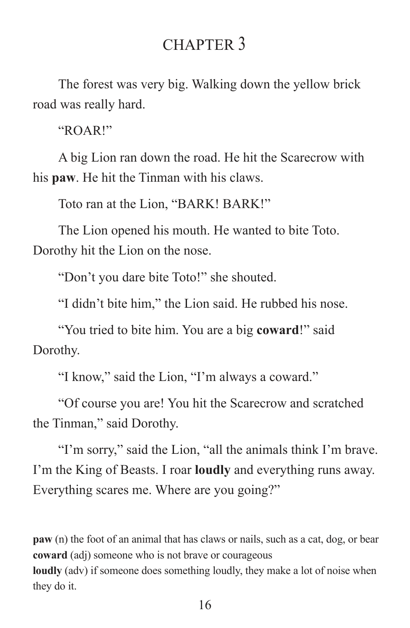## CHAPTER 3

The forest was very big. Walking down the yellow brick road was really hard.

"ROAR!"

A big Lion ran down the road. He hit the Scarecrow with his **paw**. He hit the Tinman with his claws.

Toto ran at the Lion, "BARK! BARK!"

The Lion opened his mouth. He wanted to bite Toto. Dorothy hit the Lion on the nose.

"Don't you dare bite Toto!" she shouted.

"I didn't bite him," the Lion said. He rubbed his nose.

"You tried to bite him. You are a big **coward**!" said Dorothy.

"I know," said the Lion, "I'm always a coward."

"Of course you are! You hit the Scarecrow and scratched the Tinman," said Dorothy.

"I'm sorry," said the Lion, "all the animals think I'm brave. I'm the King of Beasts. I roar **loudly** and everything runs away. Everything scares me. Where are you going?"

**paw** (n) the foot of an animal that has claws or nails, such as a cat, dog, or bear **coward** (adj) someone who is not brave or courageous **loudly** (adv) if someone does something loudly, they make a lot of noise when they do it.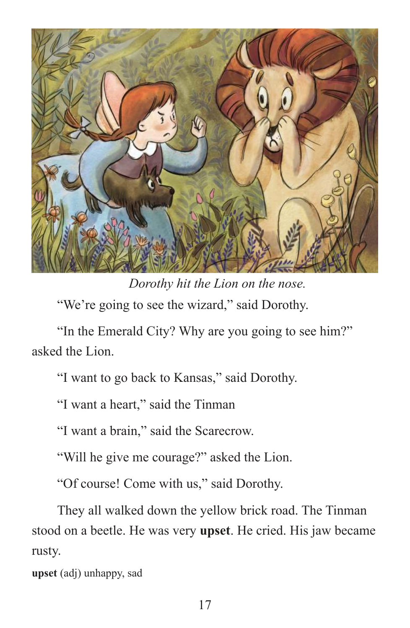

*Dorothy hit the Lion on the nose.*  "We're going to see the wizard," said Dorothy.

"In the Emerald City? Why are you going to see him?" asked the Lion.

"I want to go back to Kansas," said Dorothy.

"I want a heart," said the Tinman

"I want a brain," said the Scarecrow.

"Will he give me courage?" asked the Lion.

"Of course! Come with us," said Dorothy.

They all walked down the yellow brick road. The Tinman stood on a beetle. He was very **upset**. He cried. His jaw became rusty.

**upset** (adj) unhappy, sad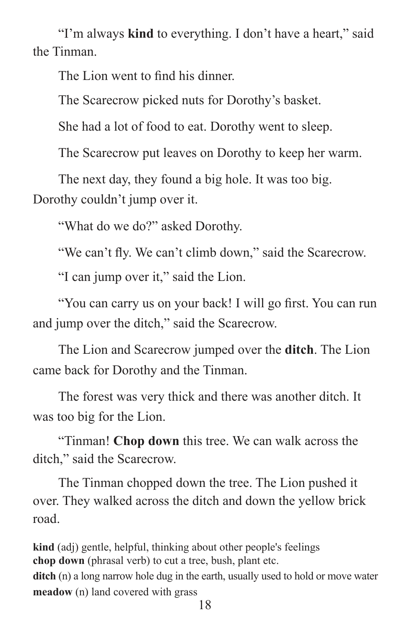"I'm always **kind** to everything. I don't have a heart," said the Tinman.

The Lion went to find his dinner.

The Scarecrow picked nuts for Dorothy's basket.

She had a lot of food to eat. Dorothy went to sleep.

The Scarecrow put leaves on Dorothy to keep her warm.

The next day, they found a big hole. It was too big. Dorothy couldn't jump over it.

"What do we do?" asked Dorothy.

"We can't fly. We can't climb down," said the Scarecrow.

"I can jump over it," said the Lion.

"You can carry us on your back! I will go first. You can run and jump over the ditch," said the Scarecrow.

The Lion and Scarecrow jumped over the **ditch**. The Lion came back for Dorothy and the Tinman.

The forest was very thick and there was another ditch. It was too big for the Lion.

"Tinman! **Chop down** this tree. We can walk across the ditch," said the Scarecrow.

The Tinman chopped down the tree. The Lion pushed it over. They walked across the ditch and down the yellow brick road.

**kind** (adj) gentle, helpful, thinking about other people's feelings **chop down** (phrasal verb) to cut a tree, bush, plant etc. **ditch** (n) a long narrow hole dug in the earth, usually used to hold or move water **meadow** (n) land covered with grass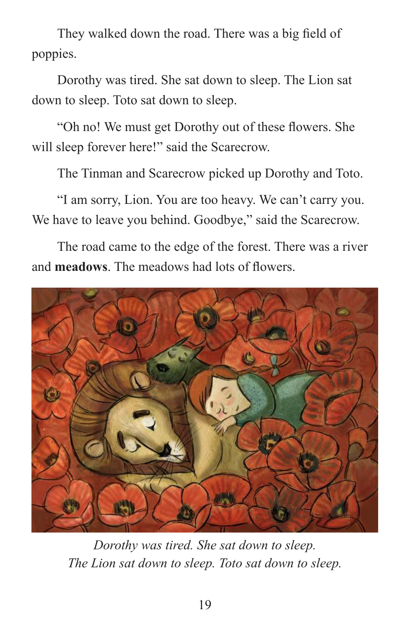They walked down the road. There was a big field of poppies.

Dorothy was tired. She sat down to sleep. The Lion sat down to sleep. Toto sat down to sleep.

"Oh no! We must get Dorothy out of these flowers. She will sleep forever here!" said the Scarecrow.

The Tinman and Scarecrow picked up Dorothy and Toto.

"I am sorry, Lion. You are too heavy. We can't carry you. We have to leave you behind. Goodbye," said the Scarecrow.

The road came to the edge of the forest. There was a river and **meadows**. The meadows had lots of flowers.



*Dorothy was tired. She sat down to sleep. The Lion sat down to sleep. Toto sat down to sleep.*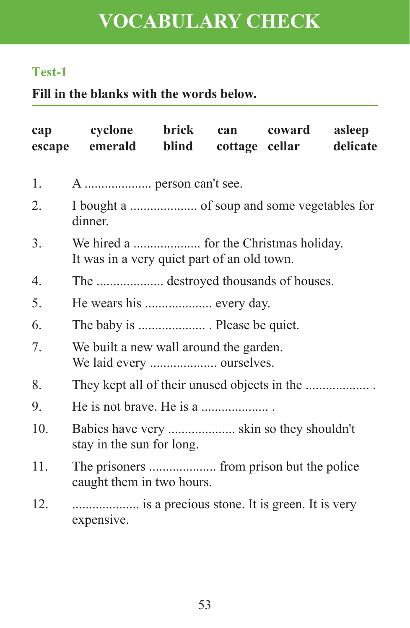# **VOCABULARY CHECK**

#### **Test-1**

**Fill in the blanks with the words below.**

| cap | cyclone brick<br>escape emerald blind                                 |  |  | can coward asleep<br>cottage cellar delicate |  |
|-----|-----------------------------------------------------------------------|--|--|----------------------------------------------|--|
| 1.  | A  person can't see.                                                  |  |  |                                              |  |
| 2.  | dinner.                                                               |  |  |                                              |  |
| 3.  | It was in a very quiet part of an old town.                           |  |  |                                              |  |
| 4.  |                                                                       |  |  |                                              |  |
| 5.  | He wears his  every day.                                              |  |  |                                              |  |
| 6.  |                                                                       |  |  |                                              |  |
| 7.  | We built a new wall around the garden.                                |  |  |                                              |  |
| 8.  |                                                                       |  |  |                                              |  |
| 9.  | He is not brave. He is a                                              |  |  |                                              |  |
| 10. | Babies have very  skin so they shouldn't<br>stay in the sun for long. |  |  |                                              |  |
| 11. | caught them in two hours.                                             |  |  |                                              |  |
| 12. | is a precious stone. It is green. It is very<br>expensive.            |  |  |                                              |  |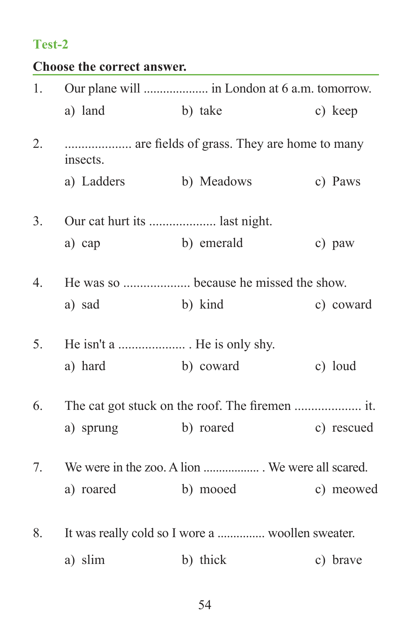## **Test-2**

| Choose the correct answer. |  |  |
|----------------------------|--|--|
|----------------------------|--|--|

|                  | a) land                       | b) take                                          | c) keep  |            |
|------------------|-------------------------------|--------------------------------------------------|----------|------------|
| 2.               | insects.                      | are fields of grass. They are home to many       |          |            |
|                  | a) Ladders b) Meadows         |                                                  | c) Paws  |            |
| 3.               | Our cat hurt its  last night. |                                                  |          |            |
|                  | a) cap                        | b) emerald                                       | c) paw   |            |
| $\overline{4}$ . |                               | He was so  because he missed the show.           |          |            |
|                  | a) sad                        | b) kind<br>c) coward                             |          |            |
| 5.               | He isn't a  He is only shy.   |                                                  |          |            |
|                  | a) hard                       | b) coward                                        | c) loud  |            |
| 6.               |                               |                                                  |          |            |
|                  | a) sprung b) roared           |                                                  |          | c) rescued |
| 7.               |                               | We were in the zoo. A lion  We were all scared.  |          |            |
|                  | a) roared b) mooed            |                                                  |          | c) meowed  |
| 8.               |                               | It was really cold so I wore a  woollen sweater. |          |            |
|                  | a) slim                       | b) thick                                         | c) brave |            |